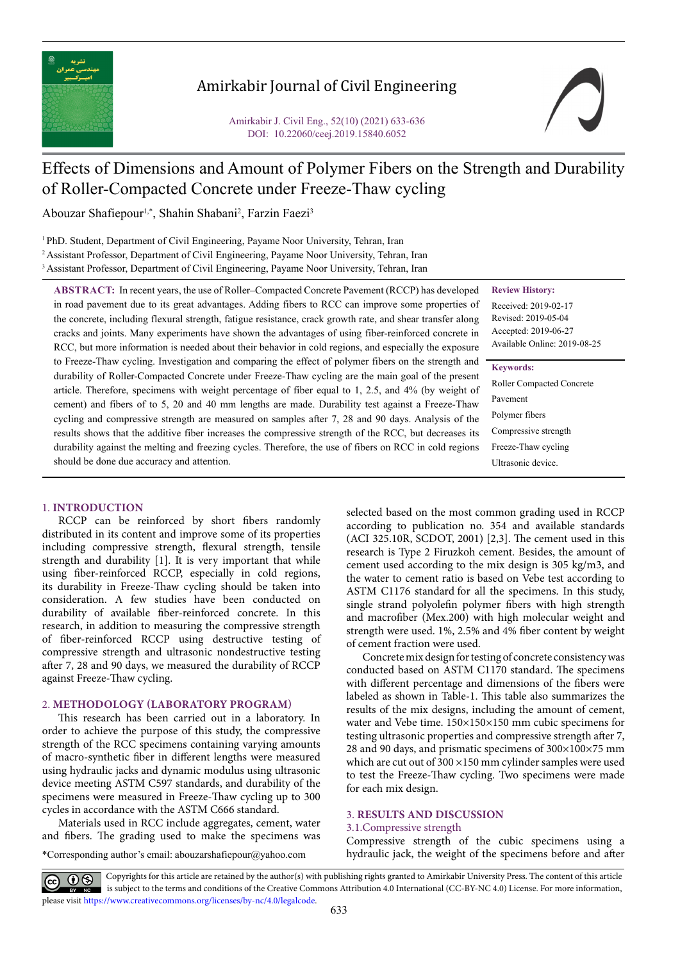

# Amirkabir Journal of Civil Engineering

# Effects of Dimensions and Amount of Polymer Fibers on the Strength and Durability of Roller-Compacted Concrete under Freeze-Thaw cycling

Abouzar Shafiepour<sup>1,\*</sup>, Shahin Shabani<sup>2</sup>, Farzin Faezi<sup>3</sup>

<sup>1</sup> PhD. Student, Department of Civil Engineering, Payame Noor University, Tehran, Iran 2 Assistant Professor, Department of Civil Engineering, Payame Noor University, Tehran, Iran <sup>3</sup> Assistant Professor, Department of Civil Engineering, Payame Noor University, Tehran, Iran

**Review History:**

Received: 2019-02-17 Revised: 2019-05-04 Accepted: 2019-06-27 Available Online: 2019-08-25

#### **Keywords:**

Roller Compacted Concrete Pavement Polymer fibers Compressive strength Freeze-Thaw cycling Ultrasonic device.

in road pavement due to its great advantages. Adding fibers to RCC can improve some properties of the concrete, including flexural strength, fatigue resistance, crack growth rate, and shear transfer along cracks and joints. Many experiments have shown the advantages of using fiber-reinforced concrete in RCC, but more information is needed about their behavior in cold regions, and especially the exposure to Freeze-Thaw cycling. Investigation and comparing the effect of polymer fibers on the strength and durability of Roller-Compacted Concrete under Freeze-Thaw cycling are the main goal of the present article. Therefore, specimens with weight percentage of fiber equal to 1, 2.5, and 4% (by weight of cement) and fibers of to 5, 20 and 40 mm lengths are made. Durability test against a Freeze-Thaw cycling and compressive strength are measured on samples after 7, 28 and 90 days. Analysis of the results shows that the additive fiber increases the compressive strength of the RCC, but decreases its durability against the melting and freezing cycles. Therefore, the use of fibers on RCC in cold regions should be done due accuracy and attention.

**ABSTRACT:** In recent years, the use of Roller–Compacted Concrete Pavement (RCCP) has developed

#### 1. **INTRODUCTION**

RCCP can be reinforced by short fibers randomly distributed in its content and improve some of its properties including compressive strength, flexural strength, tensile strength and durability [1]. It is very important that while using fiber-reinforced RCCP, especially in cold regions, its durability in Freeze-Thaw cycling should be taken into consideration. A few studies have been conducted on durability of available fiber-reinforced concrete. In this research, in addition to measuring the compressive strength of fiber-reinforced RCCP using destructive testing of compressive strength and ultrasonic nondestructive testing after 7, 28 and 90 days, we measured the durability of RCCP against Freeze-Thaw cycling.

# 2. **METHODOLOGY (LABORATORY PROGRAM)**

This research has been carried out in a laboratory. In order to achieve the purpose of this study, the compressive strength of the RCC specimens containing varying amounts of macro-synthetic fiber in different lengths were measured using hydraulic jacks and dynamic modulus using ultrasonic device meeting ASTM C597 standards, and durability of the specimens were measured in Freeze-Thaw cycling up to 300 cycles in accordance with the ASTM C666 standard.

Materials used in RCC include aggregates, cement, water and fibers. The grading used to make the specimens was

\*Corresponding author's email: abouzarshafiepour@yahoo.com

selected based on the most common grading used in RCCP according to publication no. 354 and available standards (ACI 325.10R, SCDOT, 2001) [2,3]. The cement used in this research is Type 2 Firuzkoh cement. Besides, the amount of cement used according to the mix design is 305 kg/m3, and the water to cement ratio is based on Vebe test according to ASTM C1176 standard for all the specimens. In this study, single strand polyolefin polymer fibers with high strength and macrofiber (Mex.200) with high molecular weight and strength were used. 1%, 2.5% and 4% fiber content by weight of cement fraction were used.

Concrete mix design for testing of concrete consistency was conducted based on ASTM C1170 standard. The specimens with different percentage and dimensions of the fibers were labeled as shown in Table-1. This table also summarizes the results of the mix designs, including the amount of cement, water and Vebe time. 150×150×150 mm cubic specimens for testing ultrasonic properties and compressive strength after 7, 28 and 90 days, and prismatic specimens of 300×100×75 mm which are cut out of  $300 \times 150$  mm cylinder samples were used to test the Freeze-Thaw cycling. Two specimens were made for each mix design.

# 3. **RESULTS AND DISCUSSION**

#### 3.1.Compressive strength

Compressive strength of the cubic specimens using a hydraulic jack, the weight of the specimens before and after

Copyrights for this article are retained by the author(s) with publishing rights granted to Amirkabir University Press. The content of this article is subject to the terms and conditions of the Creative Commons Attribution 4.0 International (CC-BY-NC 4.0) License. For more information, please visit https://www.creativecommons.org/licenses/by-nc/4.0/legalcode.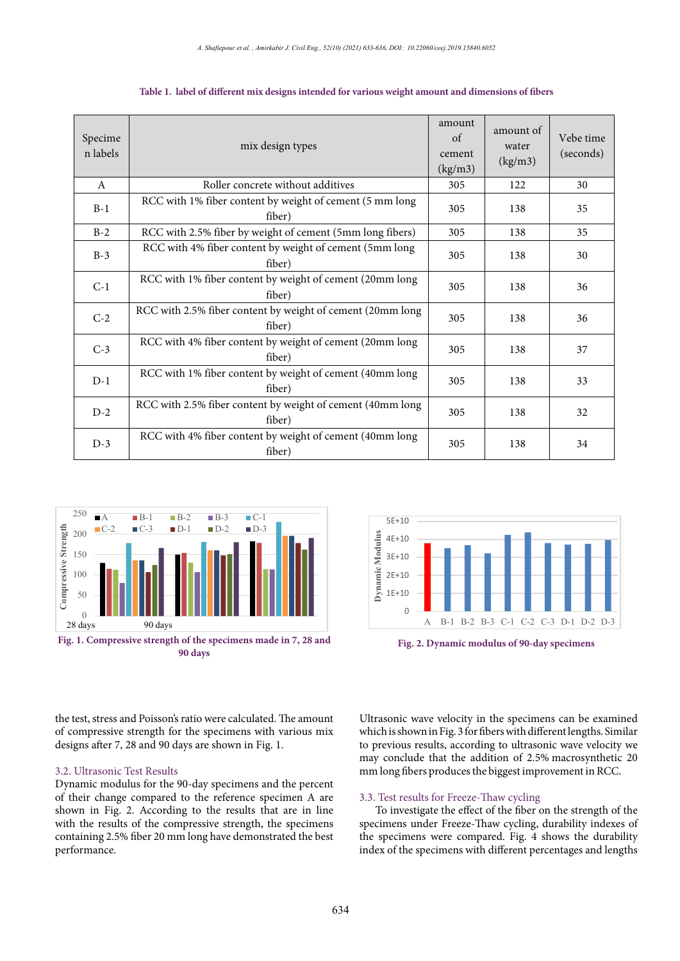| Specime<br>n labels | mix design types                                                     | amount<br>of<br>cement<br>(kg/m3) | amount of<br>water<br>(kg/m3) | Vebe time<br>(seconds) |
|---------------------|----------------------------------------------------------------------|-----------------------------------|-------------------------------|------------------------|
| A                   | Roller concrete without additives                                    | 305                               | 122                           | 30                     |
| $B-1$               | RCC with 1% fiber content by weight of cement (5 mm long<br>fiber)   | 305                               | 138                           | 35                     |
| $B-2$               | RCC with 2.5% fiber by weight of cement (5mm long fibers)            | 305                               | 138                           | 35                     |
| $B-3$               | RCC with 4% fiber content by weight of cement (5mm long<br>fiber)    | 305                               | 138                           | 30                     |
| $C-1$               | RCC with 1% fiber content by weight of cement (20mm long<br>fiber)   | 305                               | 138                           | 36                     |
| $C-2$               | RCC with 2.5% fiber content by weight of cement (20mm long<br>fiber) | 305                               | 138                           | 36                     |
| $C-3$               | RCC with 4% fiber content by weight of cement (20mm long<br>fiber)   | 305                               | 138                           | 37                     |
| $D-1$               | RCC with 1% fiber content by weight of cement (40mm long<br>fiber)   | 305                               | 138                           | 33                     |
| $D-2$               | RCC with 2.5% fiber content by weight of cement (40mm long<br>fiber) | 305                               | 138                           | 32                     |
| $D-3$               | RCC with 4% fiber content by weight of cement (40mm long<br>fiber)   | 305                               | 138                           | 34                     |

Table 1. label of different mix designs intended for various weight amount and dimensions of fibers





the test, stress and Poisson's ratio were calculated. The amount of compressive strength for the specimens with various mix designs after 7, 28 and 90 days are shown in Fig. 1.

## 3.2. Ultrasonic Test Results

Dynamic modulus for the 90-day specimens and the percent of their change compared to the reference specimen A are shown in Fig. 2. According to the results that are in line with the results of the compressive strength, the specimens containing 2.5% fiber 20 mm long have demonstrated the best performance.

Ultrasonic wave velocity in the specimens can be examined which is shown in Fig. 3 for fibers with different lengths. Similar to previous results, according to ultrasonic wave velocity we may conclude that the addition of 2.5% macrosynthetic 20 mm long fibers produces the biggest improvement in RCC.

# 3.3. Test results for Freeze-Thaw cycling

To investigate the effect of the fiber on the strength of the specimens under Freeze-Thaw cycling, durability indexes of the specimens were compared. Fig. 4 shows the durability index of the specimens with different percentages and lengths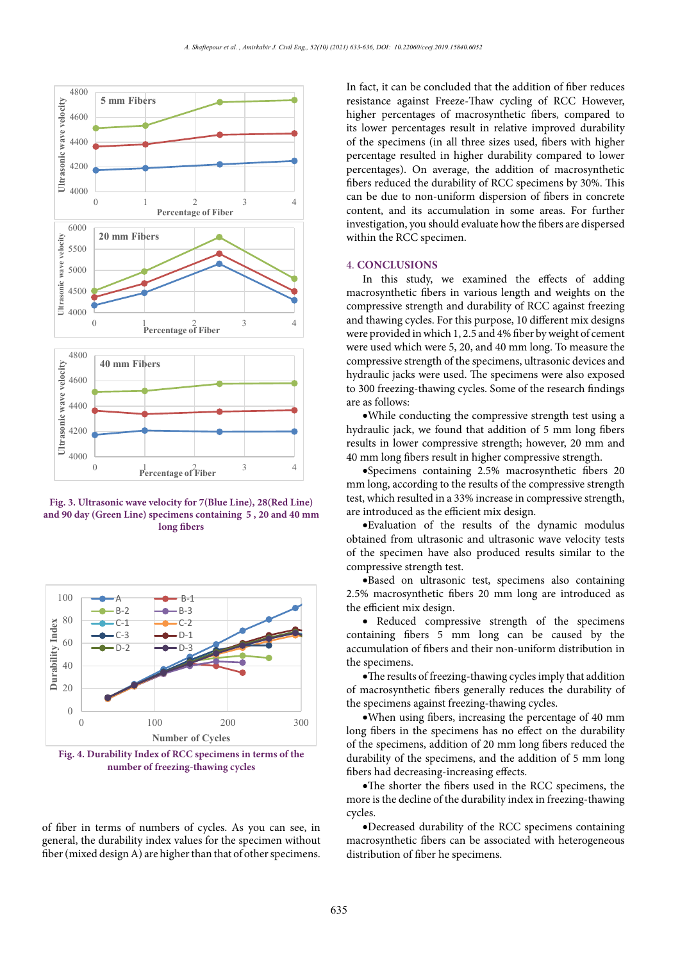

and 90 day (Green Line) specimens containing 5, 20 and 40 mm **long fibers**



**Figure 1. Purpose** *EXECUTE:* **EXECUTE: Figure 1. EXECUTE: Figure 1. EXECUTE: FIGURE** *EXECUTE: PHECCUTE: PHECCUTE: PHECCUTE: PHECCUTE: PHECCUTE: PHECCUTE: PHECCUTE: PH* **Fig. 4. Durability Index of RCC specimens in terms of the** 

of fiber in terms of numbers of cycles. As you can see, in general, the durability index values for the specimen without fiber (mixed design A) are higher than that of other specimens.

In fact, it can be concluded that the addition of fiber reduces resistance against Freeze-Thaw cycling of RCC However, higher percentages of macrosynthetic fibers, compared to its lower percentages result in relative improved durability of the specimens (in all three sizes used, fibers with higher percentage resulted in higher durability compared to lower percentages). On average, the addition of macrosynthetic fibers reduced the durability of RCC specimens by 30%. This can be due to non-uniform dispersion of fibers in concrete content, and its accumulation in some areas. For further investigation, you should evaluate how the fibers are dispersed within the RCC specimen.

#### 4. **CONCLUSIONS**

In this study, we examined the effects of adding macrosynthetic fibers in various length and weights on the compressive strength and durability of RCC against freezing and thawing cycles. For this purpose, 10 different mix designs were provided in which 1, 2.5 and 4% fiber by weight of cement were used which were 5, 20, and 40 mm long. To measure the compressive strength of the specimens, ultrasonic devices and hydraulic jacks were used. The specimens were also exposed to 300 freezing-thawing cycles. Some of the research findings are as follows:

·While conducting the compressive strength test using a hydraulic jack, we found that addition of 5 mm long fibers results in lower compressive strength; however, 20 mm and 40 mm long fibers result in higher compressive strength.

·Specimens containing 2.5% macrosynthetic fibers 20 mm long, according to the results of the compressive strength test, which resulted in a 33% increase in compressive strength, are introduced as the efficient mix design. Fig. 3. Ultrasonic wave velocity for 7(Blue Line), 28(Red Line) <sup>test,</sup> which resulted in a 33% increase in compr

> ·Evaluation of the results of the dynamic modulus obtained from ultrasonic and ultrasonic wave velocity tests of the specimen have also produced results similar to the compressive strength test.

> ·Based on ultrasonic test, specimens also containing 2.5% macrosynthetic fibers 20 mm long are introduced as the efficient mix design.

> · Reduced compressive strength of the specimens containing fibers 5 mm long can be caused by the accumulation of fibers and their non-uniform distribution in the specimens.

> ·The results of freezing-thawing cycles imply that addition of macrosynthetic fibers generally reduces the durability of the specimens against freezing-thawing cycles.

> ·When using fibers, increasing the percentage of 40 mm long fibers in the specimens has no effect on the durability of the specimens, addition of 20 mm long fibers reduced the durability of the specimens, and the addition of 5 mm long fibers had decreasing-increasing effects.

> ·The shorter the fibers used in the RCC specimens, the more is the decline of the durability index in freezing-thawing cycles.

> ·Decreased durability of the RCC specimens containing macrosynthetic fibers can be associated with heterogeneous distribution of fiber he specimens.